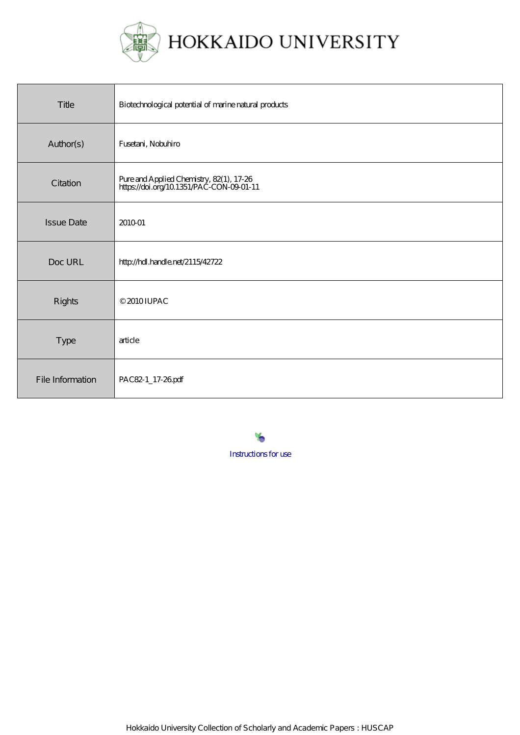

| Title             | Biotechnological potential of marine natural products                                |
|-------------------|--------------------------------------------------------------------------------------|
| Author(s)         | Fusetani, Nobuhiro                                                                   |
| Citation          | Pure and Applied Chemistry, 82(1), 17-26<br>https://doi.org/10.1351/PAC-CON-09-01-11 |
| <b>Issue Date</b> | 201001                                                                               |
| Doc URL           | http://hdl.handle.net/2115/42722                                                     |
| Rights            | © 2010 IUPAC                                                                         |
| <b>Type</b>       | article                                                                              |
| File Information  | PAC82-1_17-26pdf                                                                     |

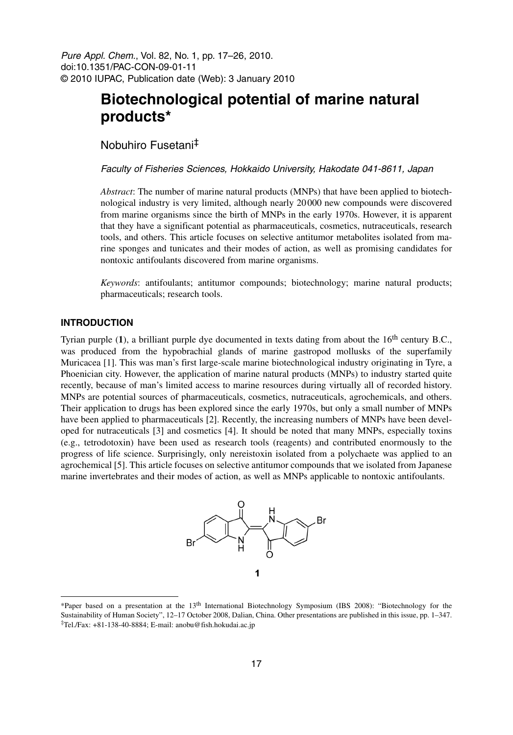Pure Appl. Chem., Vol. 82, No. 1, pp. 17–26, 2010. doi:10.1351/PAC-CON-09-01-11 © 2010 IUPAC, Publication date (Web): 3 January 2010

# **Biotechnological potential of marine natural products\***

Nobuhiro Fusetani‡

Faculty of Fisheries Sciences, Hokkaido University, Hakodate 041-8611, Japan

*Abstract*: The number of marine natural products (MNPs) that have been applied to biotechnological industry is very limited, although nearly 20 000 new compounds were discovered from marine organisms since the birth of MNPs in the early 1970s. However, it is apparent that they have a significant potential as pharmaceuticals, cosmetics, nutraceuticals, research tools, and others. This article focuses on selective antitumor metabolites isolated from marine sponges and tunicates and their modes of action, as well as promising candidates for nontoxic antifoulants discovered from marine organisms.

*Keywords*: antifoulants; antitumor compounds; biotechnology; marine natural products; pharmaceuticals; research tools.

### **INTRODUCTION**

Tyrian purple (1), a brilliant purple dye documented in texts dating from about the 16<sup>th</sup> century B.C., was produced from the hypobrachial glands of marine gastropod mollusks of the superfamily Muricacea [1]. This was man's first large-scale marine biotechnological industry originating in Tyre, a Phoenician city. However, the application of marine natural products (MNPs) to industry started quite recently, because of man's limited access to marine resources during virtually all of recorded history. MNPs are potential sources of pharmaceuticals, cosmetics, nutraceuticals, agrochemicals, and others. Their application to drugs has been explored since the early 1970s, but only a small number of MNPs have been applied to pharmaceuticals [2]. Recently, the increasing numbers of MNPs have been developed for nutraceuticals [3] and cosmetics [4]. It should be noted that many MNPs, especially toxins (e.g., tetrodotoxin) have been used as research tools (reagents) and contributed enormously to the progress of life science. Surprisingly, only nereistoxin isolated from a polychaete was applied to an agrochemical [5]. This article focuses on selective antitumor compounds that we isolated from Japanese marine invertebrates and their modes of action, as well as MNPs applicable to nontoxic antifoulants.



<sup>\*</sup>Paper based on a presentation at the 13<sup>th</sup> International Biotechnology Symposium (IBS 2008): "Biotechnology for the Sustainability of Human Society", 12–17 October 2008, Dalian, China. Other presentations are published in this issue, pp. 1–347. ‡Tel./Fax: +81-138-40-8884; E-mail: anobu@fish.hokudai.ac.jp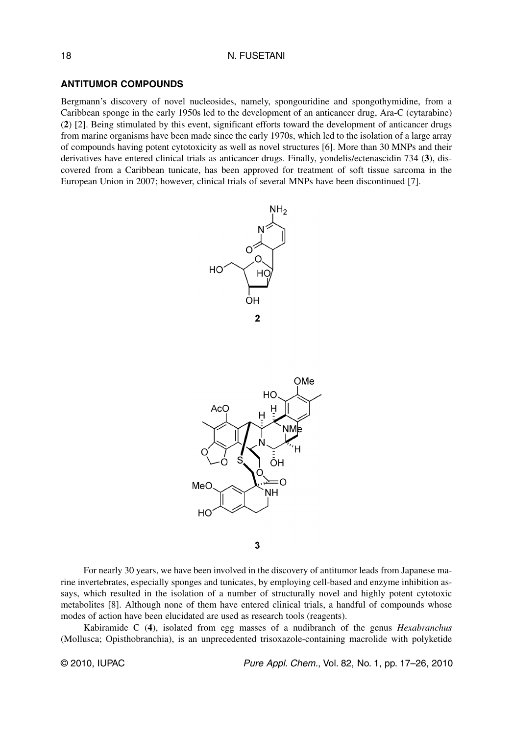### **ANTITUMOR COMPOUNDS**

Bergmann's discovery of novel nucleosides, namely, spongouridine and spongothymidine, from a Caribbean sponge in the early 1950s led to the development of an anticancer drug, Ara-C (cytarabine) (**2**) [2]. Being stimulated by this event, significant efforts toward the development of anticancer drugs from marine organisms have been made since the early 1970s, which led to the isolation of a large array of compounds having potent cytotoxicity as well as novel structures [6]. More than 30 MNPs and their derivatives have entered clinical trials as anticancer drugs. Finally, yondelis/ectenascidin 734 (**3**), discovered from a Caribbean tunicate, has been approved for treatment of soft tissue sarcoma in the European Union in 2007; however, clinical trials of several MNPs have been discontinued [7].



3

For nearly 30 years, we have been involved in the discovery of antitumor leads from Japanese marine invertebrates, especially sponges and tunicates, by employing cell-based and enzyme inhibition assays, which resulted in the isolation of a number of structurally novel and highly potent cytotoxic metabolites [8]. Although none of them have entered clinical trials, a handful of compounds whose modes of action have been elucidated are used as research tools (reagents).

Kabiramide C (**4**), isolated from egg masses of a nudibranch of the genus *Hexabranchus* (Mollusca; Opisthobranchia), is an unprecedented trisoxazole-containing macrolide with polyketide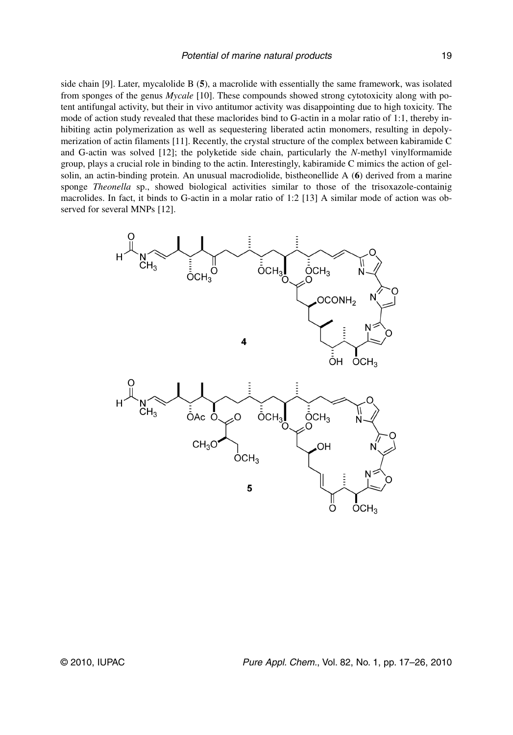side chain [9]. Later, mycalolide B (**5**), a macrolide with essentially the same framework, was isolated from sponges of the genus *Mycale* [10]. These compounds showed strong cytotoxicity along with potent antifungal activity, but their in vivo antitumor activity was disappointing due to high toxicity. The mode of action study revealed that these maclorides bind to G-actin in a molar ratio of 1:1, thereby inhibiting actin polymerization as well as sequestering liberated actin monomers, resulting in depolymerization of actin filaments [11]. Recently, the crystal structure of the complex between kabiramide C and G-actin was solved [12]; the polyketide side chain, particularly the *N*-methyl vinylformamide group, plays a crucial role in binding to the actin. Interestingly, kabiramide C mimics the action of gelsolin, an actin-binding protein. An unusual macrodiolide, bistheonellide A (**6**) derived from a marine sponge *Theonella* sp., showed biological activities similar to those of the trisoxazole-containig macrolides. In fact, it binds to G-actin in a molar ratio of 1:2 [13] A similar mode of action was observed for several MNPs [12].

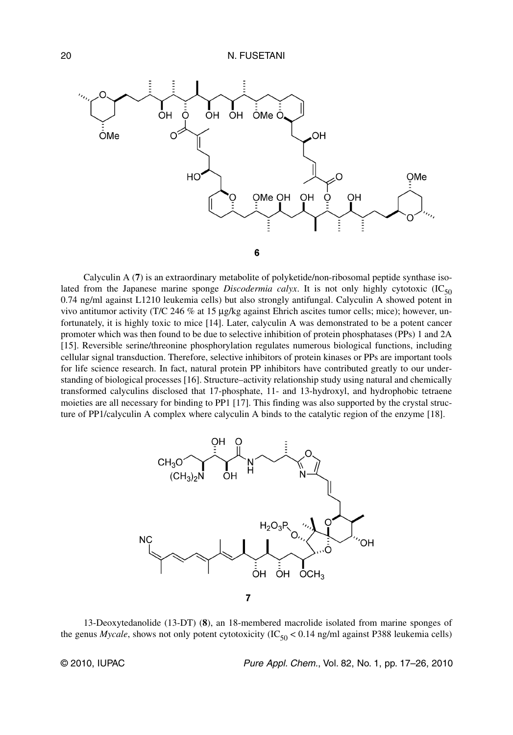

Calyculin A (**7**) is an extraordinary metabolite of polyketide/non-ribosomal peptide synthase isolated from the Japanese marine sponge *Discodermia calyx*. It is not only highly cytotoxic  $(IC_{50})$ 0.74 ng/ml against L1210 leukemia cells) but also strongly antifungal. Calyculin A showed potent in vivo antitumor activity (T/C 246 % at 15 μg/kg against Ehrich ascites tumor cells; mice); however, unfortunately, it is highly toxic to mice [14]. Later, calyculin A was demonstrated to be a potent cancer promoter which was then found to be due to selective inhibition of protein phosphatases (PPs) 1 and 2A [15]. Reversible serine/threonine phosphorylation regulates numerous biological functions, including cellular signal transduction. Therefore, selective inhibitors of protein kinases or PPs are important tools for life science research. In fact, natural protein PP inhibitors have contributed greatly to our understanding of biological processes [16]. Structure–activity relationship study using natural and chemically transformed calyculins disclosed that 17-phosphate, 11- and 13-hydroxyl, and hydrophobic tetraene moieties are all necessary for binding to PP1 [17]. This finding was also supported by the crystal structure of PP1/calyculin A complex where calyculin A binds to the catalytic region of the enzyme [18].



13-Deoxytedanolide (13-DT) (**8**), an 18-membered macrolide isolated from marine sponges of the genus *Mycale*, shows not only potent cytotoxicity  $(IC_{50} < 0.14$  ng/ml against P388 leukemia cells)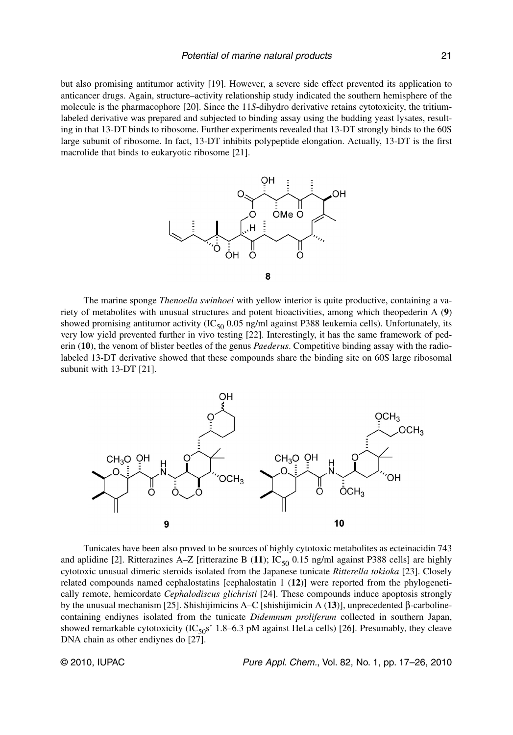but also promising antitumor activity [19]. However, a severe side effect prevented its application to anticancer drugs. Again, structure–activity relationship study indicated the southern hemisphere of the molecule is the pharmacophore [20]. Since the 11*S*-dihydro derivative retains cytotoxicity, the tritiumlabeled derivative was prepared and subjected to binding assay using the budding yeast lysates, resulting in that 13-DT binds to ribosome. Further experiments revealed that 13-DT strongly binds to the 60S large subunit of ribosome. In fact, 13-DT inhibits polypeptide elongation. Actually, 13-DT is the first macrolide that binds to eukaryotic ribosome [21].



The marine sponge *Thenoella swinhoei* with yellow interior is quite productive, containing a variety of metabolites with unusual structures and potent bioactivities, among which theopederin A (**9**) showed promising antitumor activity (IC $_{50}$  0.05 ng/ml against P388 leukemia cells). Unfortunately, its very low yield prevented further in vivo testing [22]. Interestingly, it has the same framework of pederin (**10**), the venom of blister beetles of the genus *Paederus*. Competitive binding assay with the radiolabeled 13-DT derivative showed that these compounds share the binding site on 60S large ribosomal subunit with 13-DT [21].



Tunicates have been also proved to be sources of highly cytotoxic metabolites as ecteinacidin 743 and aplidine [2]. Ritterazines A–Z [ritterazine B (11);  $IC_{50}$  0.15 ng/ml against P388 cells] are highly cytotoxic unusual dimeric steroids isolated from the Japanese tunicate *Ritterella tokioka* [23]. Closely related compounds named cephalostatins [cephalostatin 1 (**12**)] were reported from the phylogenetically remote, hemicordate *Cephalodiscus glichristi* [24]. These compounds induce apoptosis strongly by the unusual mechanism [25]. Shishijimicins A–C [shishijimicin A (**13**)], unprecedented β-carbolinecontaining endiynes isolated from the tunicate *Didemnum proliferum* collected in southern Japan, showed remarkable cytotoxicity (IC<sub>50</sub>s' 1.8–6.3 pM against HeLa cells) [26]. Presumably, they cleave DNA chain as other endiynes do [27].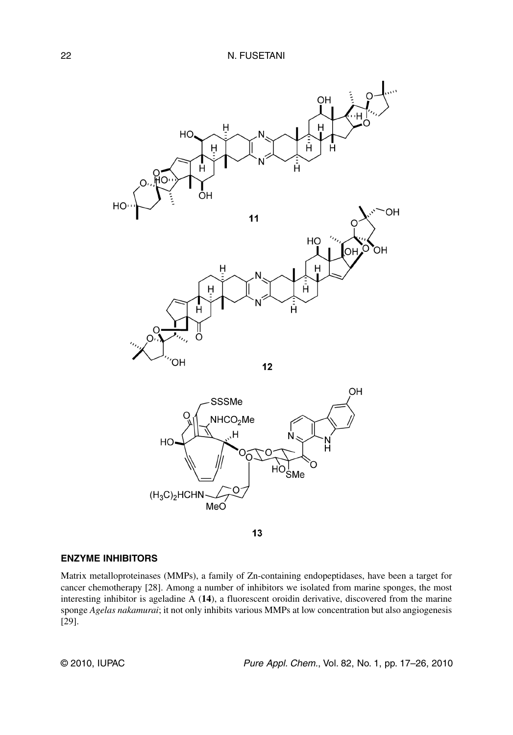

13

### **ENZYME INHIBITORS**

Matrix metalloproteinases (MMPs), a family of Zn-containing endopeptidases, have been a target for cancer chemotherapy [28]. Among a number of inhibitors we isolated from marine sponges, the most interesting inhibitor is ageladine A (**14**), a fluorescent oroidin derivative, discovered from the marine sponge *Agelas nakamurai*; it not only inhibits various MMPs at low concentration but also angiogenesis [29].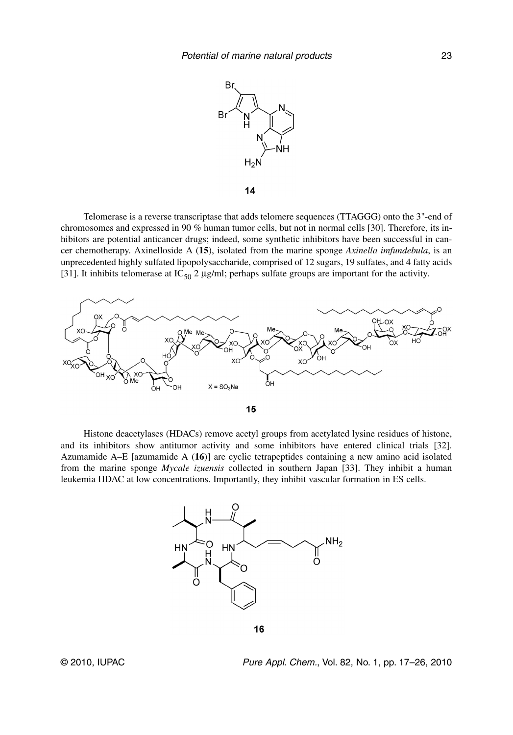

14

Telomerase is a reverse transcriptase that adds telomere sequences (TTAGGG) onto the 3"-end of chromosomes and expressed in 90 % human tumor cells, but not in normal cells [30]. Therefore, its inhibitors are potential anticancer drugs; indeed, some synthetic inhibitors have been successful in cancer chemotherapy. Axinelloside A (**15**), isolated from the marine sponge *Axinella imfundebula*, is an unprecedented highly sulfated lipopolysaccharide, comprised of 12 sugars, 19 sulfates, and 4 fatty acids [31]. It inhibits telomerase at  $IC_{50}$  2  $\mu$ g/ml; perhaps sulfate groups are important for the activity.



Histone deacetylases (HDACs) remove acetyl groups from acetylated lysine residues of histone, and its inhibitors show antitumor activity and some inhibitors have entered clinical trials [32]. Azumamide A–E [azumamide A (**16**)] are cyclic tetrapeptides containing a new amino acid isolated from the marine sponge *Mycale izuensis* collected in southern Japan [33]. They inhibit a human leukemia HDAC at low concentrations. Importantly, they inhibit vascular formation in ES cells.



16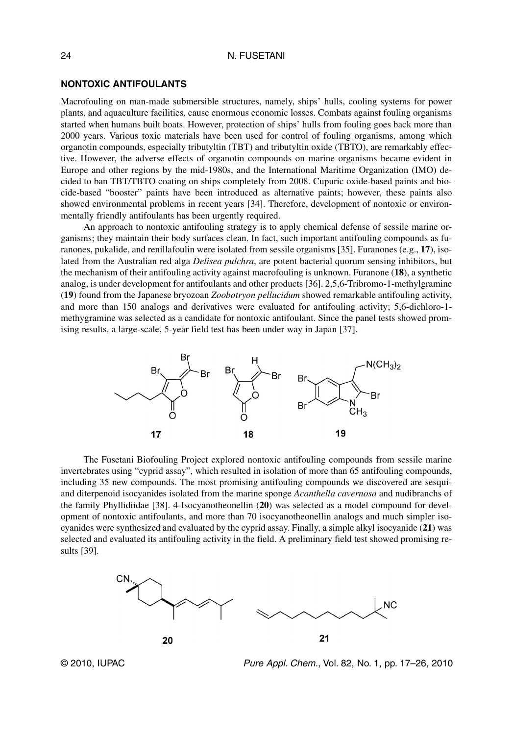### **NONTOXIC ANTIFOULANTS**

Macrofouling on man-made submersible structures, namely, ships' hulls, cooling systems for power plants, and aquaculture facilities, cause enormous economic losses. Combats against fouling organisms started when humans built boats. However, protection of ships' hulls from fouling goes back more than 2000 years. Various toxic materials have been used for control of fouling organisms, among which organotin compounds, especially tributyltin (TBT) and tributyltin oxide (TBTO), are remarkably effective. However, the adverse effects of organotin compounds on marine organisms became evident in Europe and other regions by the mid-1980s, and the International Maritime Organization (IMO) decided to ban TBT/TBTO coating on ships completely from 2008. Cupuric oxide-based paints and biocide-based "booster" paints have been introduced as alternative paints; however, these paints also showed environmental problems in recent years [34]. Therefore, development of nontoxic or environmentally friendly antifoulants has been urgently required.

An approach to nontoxic antifouling strategy is to apply chemical defense of sessile marine organisms; they maintain their body surfaces clean. In fact, such important antifouling compounds as furanones, pukalide, and renillafoulin were isolated from sessile organisms [35]. Furanones (e.g., **17**), isolated from the Australian red alga *Delisea pulchra*, are potent bacterial quorum sensing inhibitors, but the mechanism of their antifouling activity against macrofouling is unknown. Furanone (**18**), a synthetic analog, is under development for antifoulants and other products [36]. 2,5,6-Tribromo-1-methylgramine (**19**) found from the Japanese bryozoan *Zoobotryon pellucidum* showed remarkable antifouling activity, and more than 150 analogs and derivatives were evaluated for antifouling activity; 5,6-dichloro-1 methygramine was selected as a candidate for nontoxic antifoulant. Since the panel tests showed promising results, a large-scale, 5-year field test has been under way in Japan [37].



The Fusetani Biofouling Project explored nontoxic antifouling compounds from sessile marine invertebrates using "cyprid assay", which resulted in isolation of more than 65 antifouling compounds, including 35 new compounds. The most promising antifouling compounds we discovered are sesquiand diterpenoid isocyanides isolated from the marine sponge *Acanthella cavernosa* and nudibranchs of the family Phyllidiidae [38]. 4-Isocyanotheonellin (**20**) was selected as a model compound for development of nontoxic antifoulants, and more than 70 isocyanotheonellin analogs and much simpler isocyanides were synthesized and evaluated by the cyprid assay. Finally, a simple alkyl isocyanide (**21**) was selected and evaluated its antifouling activity in the field. A preliminary field test showed promising results [39].



© 2010, IUPAC **Pure Appl. Chem., Vol. 82, No. 1, pp. 17–26**, 2010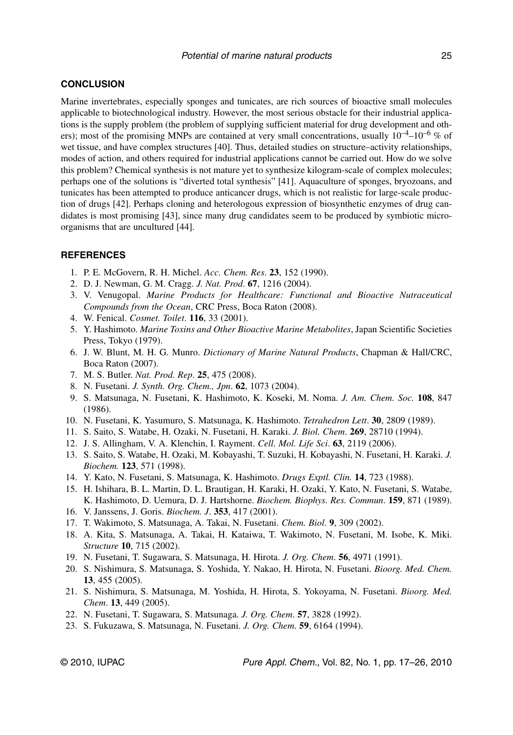## **CONCLUSION**

Marine invertebrates, especially sponges and tunicates, are rich sources of bioactive small molecules applicable to biotechnological industry. However, the most serious obstacle for their industrial applications is the supply problem (the problem of supplying sufficient material for drug development and others); most of the promising MNPs are contained at very small concentrations, usually  $10^{-4}$ – $10^{-6}$  % of wet tissue, and have complex structures [40]. Thus, detailed studies on structure–activity relationships, modes of action, and others required for industrial applications cannot be carried out. How do we solve this problem? Chemical synthesis is not mature yet to synthesize kilogram-scale of complex molecules; perhaps one of the solutions is "diverted total synthesis" [41]. Aquaculture of sponges, bryozoans, and tunicates has been attempted to produce anticancer drugs, which is not realistic for large-scale production of drugs [42]. Perhaps cloning and heterologous expression of biosynthetic enzymes of drug candidates is most promising [43], since many drug candidates seem to be produced by symbiotic microorganisms that are uncultured [44].

### **REFERENCES**

- 1. P. E. McGovern, R. H. Michel. *Acc. Chem. Res*. **23**, 152 (1990).
- 2. D. J. Newman, G. M. Cragg. *J. Nat. Prod*. **67**, 1216 (2004).
- 3. V. Venugopal. *Marine Products for Healthcare: Functional and Bioactive Nutraceutical Compounds from the Ocean*, CRC Press, Boca Raton (2008).
- 4. W. Fenical. *Cosmet. Toilet*. **116**, 33 (2001).
- 5. Y. Hashimoto. *Marine Toxins and Other Bioactive Marine Metabolites*, Japan Scientific Societies Press, Tokyo (1979).
- 6. J. W. Blunt, M. H. G. Munro. *Dictionary of Marine Natural Products*, Chapman & Hall/CRC, Boca Raton (2007).
- 7. M. S. Butler. *Nat. Prod. Rep*. **25**, 475 (2008).
- 8. N. Fusetani. *J. Synth. Org. Chem., Jpn*. **62**, 1073 (2004).
- 9. S. Matsunaga, N. Fusetani, K. Hashimoto, K. Koseki, M. Noma. *J. Am. Chem. Soc.* **108**, 847 (1986).
- 10. N. Fusetani, K. Yasumuro, S. Matsunaga, K. Hashimoto. *Tetrahedron Lett*. **30**, 2809 (1989).
- 11. S. Saito, S. Watabe, H. Ozaki, N. Fusetani, H. Karaki. *J. Biol. Chem*. **269**, 28710 (1994).
- 12. J. S. Allingham, V. A. Klenchin, I. Rayment. *Cell. Mol. Life Sci*. **63**, 2119 (2006).
- 13. S. Saito, S. Watabe, H. Ozaki, M. Kobayashi, T. Suzuki, H. Kobayashi, N. Fusetani, H. Karaki*. J. Biochem.* **123**, 571 (1998).
- 14. Y. Kato, N. Fusetani, S. Matsunaga, K. Hashimoto. *Drugs Exptl. Clin.* **14**, 723 (1988).
- 15. H. Ishihara, B. L. Martin, D. L. Brautigan, H. Karaki, H. Ozaki, Y. Kato, N. Fusetani, S. Watabe, K. Hashimoto, D. Uemura, D. J. Hartshorne. *Biochem. Biophys. Res. Commun*. **159**, 871 (1989).
- 16. V. Janssens, J. Goris. *Biochem. J*. **353**, 417 (2001).
- 17. T. Wakimoto, S. Matsunaga, A. Takai, N. Fusetani. *Chem. Biol*. **9**, 309 (2002).
- 18. A. Kita, S. Matsunaga, A. Takai, H. Kataiwa, T. Wakimoto, N. Fusetani, M. Isobe, K. Miki. *Structure* **10**, 715 (2002).
- 19. N. Fusetani, T. Sugawara, S. Matsunaga, H. Hirota. *J. Org. Chem*. **56**, 4971 (1991).
- 20. S. Nishimura, S. Matsunaga, S. Yoshida, Y. Nakao, H. Hirota, N. Fusetani. *Bioorg. Med. Chem.* **13**, 455 (2005).
- 21. S. Nishimura, S. Matsunaga, M. Yoshida, H. Hirota, S. Yokoyama, N. Fusetani. *Bioorg. Med. Chem*. **13**, 449 (2005).
- 22. N. Fusetani, T. Sugawara, S. Matsunaga. *J. Org. Chem*. **57**, 3828 (1992).
- 23. S. Fukuzawa, S. Matsunaga, N. Fusetani. *J. Org. Chem*. **59**, 6164 (1994).